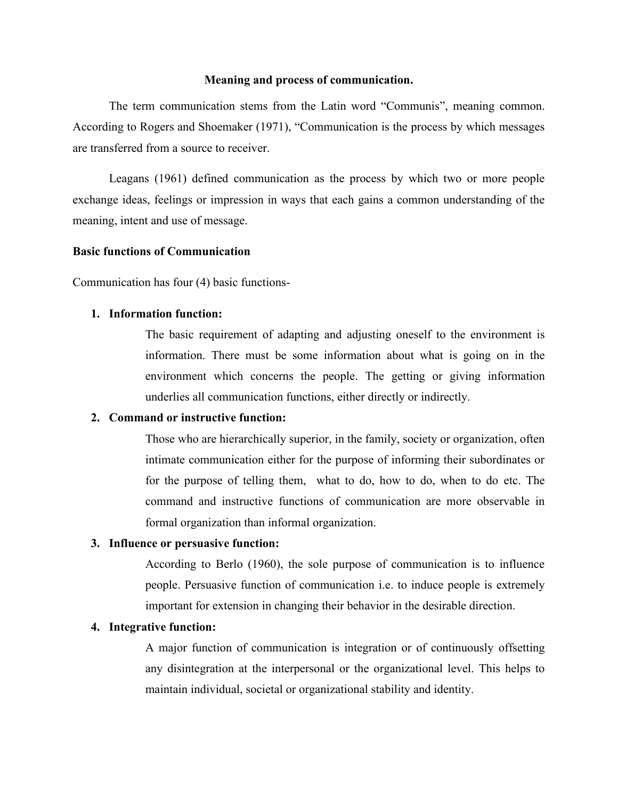#### **Meaning and process of communication.**

The term communication stems from the Latin word "Communis", meaning common. According to Rogers and Shoemaker (1971), "Communication is the process by which messages are transferred from a source to receiver.

Leagans (1961) defined communication as the process by which two or more people exchange ideas, feelings or impression in ways that each gains a common understanding of the meaning, intent and use of message.

## **Basic functions of Communication**

Communication has four (4) basic functions-

#### **1. Information function:**

The basic requirement of adapting and adjusting oneself to the environment is information. There must be some information about what is going on in the environment which concerns the people. The getting or giving information underlies all communication functions, either directly or indirectly.

## **2. Command or instructive function:**

Those who are hierarchically superior, in the family, society or organization, often intimate communication either for the purpose of informing their subordinates or for the purpose of telling them, what to do, how to do, when to do etc. The command and instructive functions of communication are more observable in formal organization than informal organization.

## **3. Influence or persuasive function:**

According to Berlo (1960), the sole purpose of communication is to influence people. Persuasive function of communication i.e. to induce people is extremely important for extension in changing their behavior in the desirable direction.

## **4. Integrative function:**

A major function of communication is integration or of continuously offsetting any disintegration at the interpersonal or the organizational level. This helps to maintain individual, societal or organizational stability and identity.